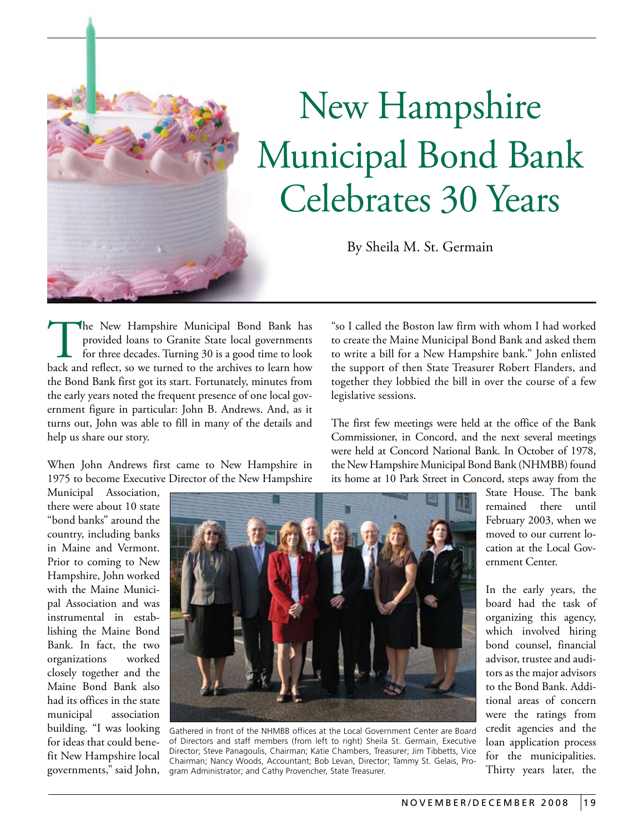## New Hampshire Municipal Bond Bank Celebrates 30 Years

By Sheila M. St. Germain

The New Hampshire Municipal Bond Bank has provided loans to Granite State local governments for three decades. Turning 30 is a good time to look back and reflect, so we turned to the archives to learn how provided loans to Granite State local governments for three decades. Turning 30 is a good time to look the Bond Bank first got its start. Fortunately, minutes from the early years noted the frequent presence of one local government figure in particular: John B. Andrews. And, as it turns out, John was able to fill in many of the details and help us share our story.

When John Andrews first came to New Hampshire in 1975 to become Executive Director of the New Hampshire "so I called the Boston law firm with whom I had worked to create the Maine Municipal Bond Bank and asked them to write a bill for a New Hampshire bank." John enlisted the support of then State Treasurer Robert Flanders, and together they lobbied the bill in over the course of a few legislative sessions.

The first few meetings were held at the office of the Bank Commissioner, in Concord, and the next several meetings were held at Concord National Bank. In October of 1978, the New Hampshire Municipal Bond Bank (NHMBB) found its home at 10 Park Street in Concord, steps away from the

Municipal Association, there were about 10 state "bond banks" around the country, including banks in Maine and Vermont. Prior to coming to New Hampshire, John worked with the Maine Municipal Association and was instrumental in establishing the Maine Bond Bank. In fact, the two organizations worked closely together and the Maine Bond Bank also had its offices in the state municipal association building. "I was looking for ideas that could benefit New Hampshire local governments," said John,



Gathered in front of the NHMBB offices at the Local Government Center are Board of Directors and staff members (from left to right) Sheila St. Germain, Executive Director; Steve Panagoulis, Chairman; Katie Chambers, Treasurer; Jim Tibbetts, Vice Chairman; Nancy Woods, Accountant; Bob Levan, Director; Tammy St. Gelais, Program Administrator; and Cathy Provencher, State Treasurer.

State House. The bank remained there until February 2003, when we moved to our current location at the Local Government Center.

In the early years, the board had the task of organizing this agency, which involved hiring bond counsel, financial advisor, trustee and auditors as the major advisors to the Bond Bank. Additional areas of concern were the ratings from credit agencies and the loan application process for the municipalities. Thirty years later, the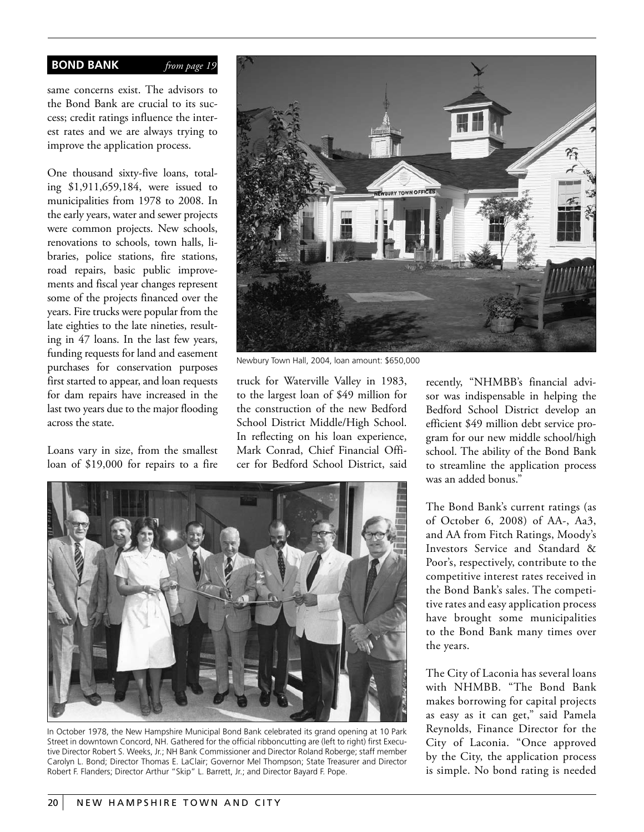## **BOND BANK** *from page 19*

same concerns exist. The advisors to the Bond Bank are crucial to its success; credit ratings influence the interest rates and we are always trying to improve the application process.

One thousand sixty-five loans, totaling \$1,911,659,184, were issued to municipalities from 1978 to 2008. In the early years, water and sewer projects were common projects. New schools, renovations to schools, town halls, libraries, police stations, fire stations, road repairs, basic public improvements and fiscal year changes represent some of the projects financed over the years. Fire trucks were popular from the late eighties to the late nineties, resulting in 47 loans. In the last few years, funding requests for land and easement purchases for conservation purposes first started to appear, and loan requests for dam repairs have increased in the last two years due to the major flooding across the state.

Loans vary in size, from the smallest loan of \$19,000 for repairs to a fire



Newbury Town Hall, 2004, loan amount: \$650,000

truck for Waterville Valley in 1983, to the largest loan of \$49 million for the construction of the new Bedford School District Middle/High School. In reflecting on his loan experience, Mark Conrad, Chief Financial Officer for Bedford School District, said



In October 1978, the New Hampshire Municipal Bond Bank celebrated its grand opening at 10 Park Street in downtown Concord, NH. Gathered for the official ribboncutting are (left to right) first Executive Director Robert S. Weeks, Jr.; NH Bank Commissioner and Director Roland Roberge; staff member Carolyn L. Bond; Director Thomas E. LaClair; Governor Mel Thompson; State Treasurer and Director Robert F. Flanders; Director Arthur "Skip" L. Barrett, Jr.; and Director Bayard F. Pope.

recently, "NHMBB's financial advisor was indispensable in helping the Bedford School District develop an efficient \$49 million debt service program for our new middle school/high school. The ability of the Bond Bank to streamline the application process was an added bonus."

The Bond Bank's current ratings (as of October 6, 2008) of AA-, Aa3, and AA from Fitch Ratings, Moody's Investors Service and Standard & Poor's, respectively, contribute to the competitive interest rates received in the Bond Bank's sales. The competitive rates and easy application process have brought some municipalities to the Bond Bank many times over the years.

The City of Laconia has several loans with NHMBB. "The Bond Bank makes borrowing for capital projects as easy as it can get," said Pamela Reynolds, Finance Director for the City of Laconia. "Once approved by the City, the application process is simple. No bond rating is needed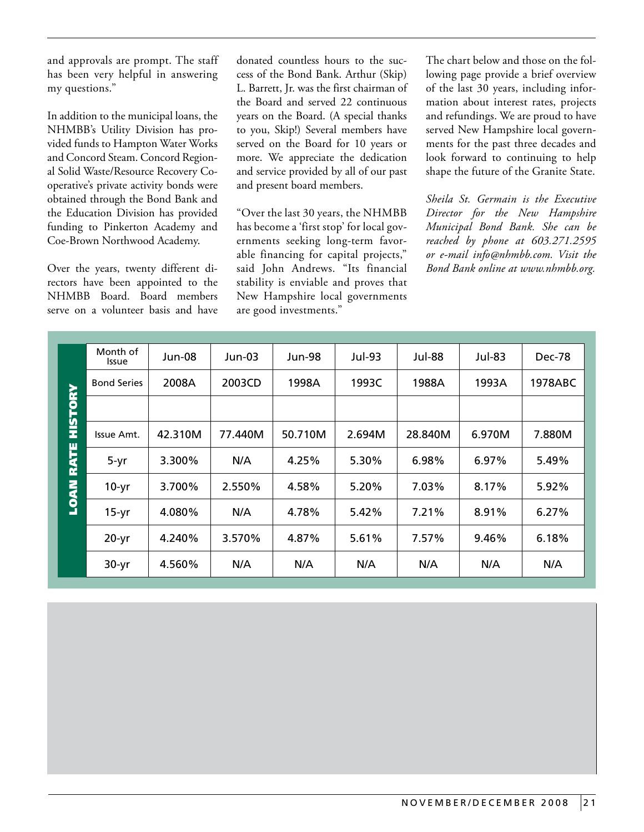and approvals are prompt. The staff has been very helpful in answering my questions."

In addition to the municipal loans, the NHMBB's Utility Division has provided funds to Hampton Water Works and Concord Steam. Concord Regional Solid Waste/Resource Recovery Cooperative's private activity bonds were obtained through the Bond Bank and the Education Division has provided funding to Pinkerton Academy and Coe-Brown Northwood Academy.

Over the years, twenty different directors have been appointed to the NHMBB Board. Board members serve on a volunteer basis and have donated countless hours to the success of the Bond Bank. Arthur (Skip) L. Barrett, Jr. was the first chairman of the Board and served 22 continuous years on the Board. (A special thanks to you, Skip!) Several members have served on the Board for 10 years or more. We appreciate the dedication and service provided by all of our past and present board members.

"Over the last 30 years, the NHMBB has become a 'first stop' for local governments seeking long-term favorable financing for capital projects," said John Andrews. "Its financial stability is enviable and proves that New Hampshire local governments are good investments."

The chart below and those on the following page provide a brief overview of the last 30 years, including information about interest rates, projects and refundings. We are proud to have served New Hampshire local governments for the past three decades and look forward to continuing to help shape the future of the Granite State.

*Sheila St. Germain is the Executive Director for the New Hampshire Municipal Bond Bank. She can be reached by phone at 603.271.2595 or e-mail info@nhmbb.com. Visit the Bond Bank online at www.nhmbb.org.*

|                            | Month of<br><b>Issue</b> | Jun-08  | Jun-03  | Jun-98  | <b>Jul-93</b> | <b>Jul-88</b> | Jul-83 | <b>Dec-78</b> |
|----------------------------|--------------------------|---------|---------|---------|---------------|---------------|--------|---------------|
|                            | <b>Bond Series</b>       | 2008A   | 2003CD  | 1998A   | 1993C         | 1988A         | 1993A  | 1978ABC       |
| HISTORY                    |                          |         |         |         |               |               |        |               |
| <b>RATE</b><br><b>LOAN</b> | Issue Amt.               | 42.310M | 77.440M | 50.710M | 2.694M        | 28.840M       | 6.970M | 7.880M        |
|                            | $5-yr$                   | 3.300%  | N/A     | 4.25%   | 5.30%         | 6.98%         | 6.97%  | 5.49%         |
|                            | $10-yr$                  | 3.700%  | 2.550%  | 4.58%   | 5.20%         | 7.03%         | 8.17%  | 5.92%         |
|                            | $15-yr$                  | 4.080%  | N/A     | 4.78%   | 5.42%         | 7.21%         | 8.91%  | 6.27%         |
|                            | $20-yr$                  | 4.240%  | 3.570%  | 4.87%   | 5.61%         | 7.57%         | 9.46%  | 6.18%         |
|                            | $30-yr$                  | 4.560%  | N/A     | N/A     | N/A           | N/A           | N/A    | N/A           |